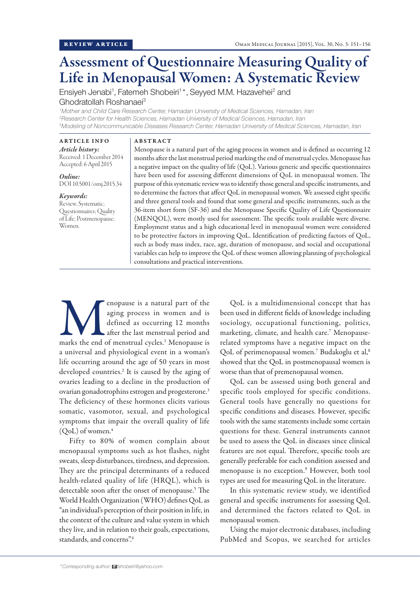# Assessment of Questionnaire Measuring Quality of Life in Menopausal Women: A Systematic Review

Ensiyeh Jenabi<sup>1</sup>, Fatemeh Shobeiri<sup>1\*</sup>, Seyyed M.M. Hazavehei<sup>2</sup> and Ghodratollah Roshanaei<sup>3</sup>

*1 Mother and Child Care Research Center, Hamadan University of Medical Sciences, Hamadan, Iran 2 Research Center for Health Sciences, Hamadan University of Medical Sciences, Hamadan, Iran 3 Modeling of Noncommunicable Diseases Research Center, Hamadan University of Medical Sciences, Hamadan, Iran*

ARTICLE INFO *Article history:*  Received: 1 December 2014 Accepted: 6 April 2015

*Online:* DOI 10.5001/omj.2015.34

#### *Keywords:*

Review, Systematic; Questionnaires; Quality of Life; Postmenopause; Women.

#### ABSTRACT

Menopause is a natural part of the aging process in women and is defined as occurring 12 months after the last menstrual period marking the end of menstrual cycles. Menopause has a negative impact on the quality of life (QoL). Various generic and specific questionnaires have been used for assessing different dimensions of QoL in menopausal women. The purpose of this systematic review was to identify those general and specific instruments, and to determine the factors that affect QoL in menopausal women. We assessed eight specific and three general tools and found that some general and specific instruments, such as the 36-item short form (SF-36) and the Menopause Specific Quality of Life Questionnaire (MENQOL), were mostly used for assessment. The specific tools available were diverse. Employment status and a high educational level in menopausal women were considered to be protective factors in improving QoL. Identification of predicting factors of QoL, such as body mass index, race, age, duration of menopause, and social and occupational variables can help to improve the QoL of these women allowing planning of psychological consultations and practical interventions.

**Multipure 12** enopause is a natural part of the aging process in women and is defined as occurring 12 months after the last menstrual period and marks the end of menstrual cycles.<sup>1</sup> Menopause is aging process in women and is defined as occurring 12 months after the last menstrual period and a universal and physiological event in a woman's life occurring around the age of 50 years in most developed countries.<sup>2</sup> It is caused by the aging of ovaries leading to a decline in the production of ovarian gonadotrophins estrogen and progesterone.3 The deficiency of these hormones elicits various somatic, vasomotor, sexual, and psychological symptoms that impair the overall quality of life  $(QoL)$  of women.<sup>4</sup>

Fifty to 80% of women complain about menopausal symptoms such as hot flashes, night sweats, sleep disturbances, tiredness, and depression. They are the principal determinants of a reduced health-related quality of life (HRQL), which is detectable soon after the onset of menopause.<sup>5</sup> The World Health Organization (WHO) defines QoL as "an individual's perception of their position in life, in the context of the culture and value system in which they live, and in relation to their goals, expectations, standards, and concerns".<sup>6</sup>

QoL is a multidimensional concept that has been used in different fields of knowledge including sociology, occupational functioning, politics, marketing, climate, and health care.7 Menopauserelated symptoms have a negative impact on the QoL of perimenopausal women.<sup>7</sup> Budakoglu et al,<sup>8</sup> showed that the QoL in postmenopausal women is worse than that of premenopausal women.

QoL can be assessed using both general and specific tools employed for specific conditions. General tools have generally no questions for specific conditions and diseases. However, specific tools with the same statements include some certain questions for these. General instruments cannot be used to assess the QoL in diseases since clinical features are not equal. Therefore, specific tools are generally preferable for each condition assessed and menopause is no exception.9 However, both tool types are used for measuring QoL in the literature.

In this systematic review study, we identified general and specific instruments for assessing QoL and determined the factors related to QoL in menopausal women.

Using the major electronic databases, including PubMed and Scopus, we searched for articles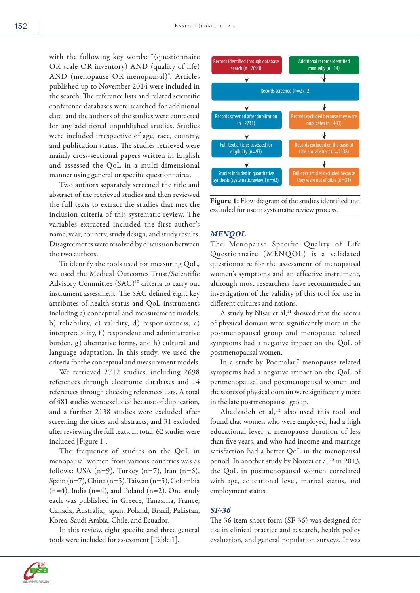with the following key words: "(questionnaire OR scale OR inventory) AND (quality of life) AND (menopause OR menopausal)". Articles published up to November 2014 were included in the search. The reference lists and related scientific conference databases were searched for additional data, and the authors of the studies were contacted for any additional unpublished studies. Studies were included irrespective of age, race, country, and publication status. The studies retrieved were mainly cross-sectional papers written in English and assessed the QoL in a multi-dimensional manner using general or specific questionnaires.

Two authors separately screened the title and abstract of the retrieved studies and then reviewed the full texts to extract the studies that met the inclusion criteria of this systematic review. The variables extracted included the first author's name, year, country, study design, and study results. Disagreements were resolved by discussion between the two authors.

To identify the tools used for measuring QoL, we used the Medical Outcomes Trust/Scientific Advisory Committee (SAC)<sup>10</sup> criteria to carry out instrument assessment. The SAC defined eight key attributes of health status and QoL instruments including a) conceptual and measurement models, b) reliability, c) validity, d) responsiveness, e) interpretability, f) respondent and administrative burden, g) alternative forms, and h) cultural and language adaptation. In this study, we used the criteria for the conceptual and measurement models.

We retrieved 2712 studies, including 2698 references through electronic databases and 14 references through checking references lists. A total of 481 studies were excluded because of duplication, and a further 2138 studies were excluded after screening the titles and abstracts, and 31 excluded after reviewing the full texts. In total, 62 studies were included [Figure 1].

The frequency of studies on the QoL in menopausal women from various countries was as follows: USA  $(n=9)$ , Turkey  $(n=7)$ , Iran  $(n=6)$ , Spain (n=7), China (n=5), Taiwan (n=5), Colombia  $(n=4)$ , India  $(n=4)$ , and Poland  $(n=2)$ . One study each was published in Greece, Tanzania, France, Canada, Australia, Japan, Poland, Brazil, Pakistan, Korea, Saudi Arabia, Chile, and Ecuador.

In this review, eight specific and three general tools were included for assessment [Table 1].



Figure 1: Flow diagram of the studies identified and excluded for use in systematic review process.

## *MENQOL*

The Menopause Specific Quality of Life Questionnaire (MENQOL) is a validated questionnaire for the assessment of menopausal women's symptoms and an effective instrument, although most researchers have recommended an investigation of the validity of this tool for use in different cultures and nations.

A study by Nisar et al, $11$  showed that the scores of physical domain were significantly more in the postmenopausal group and menopause related symptoms had a negative impact on the QoL of postmenopausal women.

In a study by Poomalar,<sup>7</sup> menopause related symptoms had a negative impact on the QoL of perimenopausal and postmenopausal women and the scores of physical domain were significantly more in the late postmenopausal group.

Abedzadeh et al,<sup>12</sup> also used this tool and found that women who were employed, had a high educational level, a menopause duration of less than five years, and who had income and marriage satisfaction had a better QoL in the menopausal period. In another study by Norozi et al,<sup>13</sup> in 2013, the QoL in postmenopausal women correlated with age, educational level, marital status, and employment status.

#### *SF-36*

The 36-item short-form (SF-36) was designed for use in clinical practice and research, health policy evaluation, and general population surveys. It was

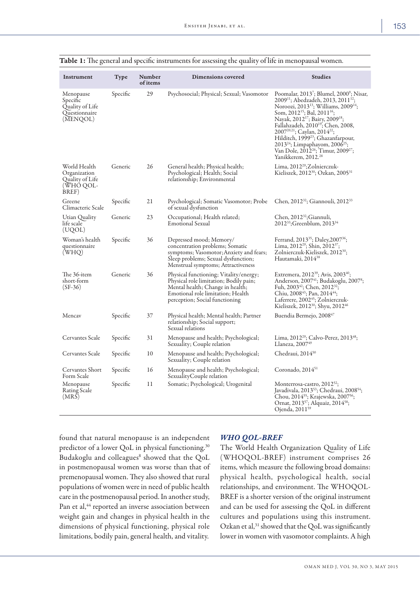| Instrument                                                            | <b>Type</b> | Number<br>of items | Dimensions covered                                                                                                                                                                          | <b>Studies</b>                                                                                                                                                                                                                                                                                                                                                                                                                                                                                                                                                                                                                        |
|-----------------------------------------------------------------------|-------------|--------------------|---------------------------------------------------------------------------------------------------------------------------------------------------------------------------------------------|---------------------------------------------------------------------------------------------------------------------------------------------------------------------------------------------------------------------------------------------------------------------------------------------------------------------------------------------------------------------------------------------------------------------------------------------------------------------------------------------------------------------------------------------------------------------------------------------------------------------------------------|
| Menopause<br>Specific<br>Quality of Life<br>Questionnaire<br>(MENQOL) | Specific    | 29                 | Psychosocial; Physical; Sexual; Vasomotor                                                                                                                                                   | Poomalar, 2013 <sup>7</sup> ; Blumel, 2000 <sup>9</sup> ; Nisar,<br>2009 <sup>11</sup> ; Abedzadeh, 2013, 2011 <sup>12</sup> ;<br>Noroozi, 2013 <sup>13</sup> ; Williams, 2009 <sup>14</sup> ;<br>Som, 2012 <sup>15</sup> ; Bal, 2011 <sup>16</sup> ;<br>Nayak, 2012 <sup>17</sup> ; Bairy, 2009 <sup>18</sup> ;<br>Fallahzadeh, 2010 <sup>19</sup> ; Chen, 2008,<br>2007 <sup>20,21</sup> ; Caylan, 2014 <sup>22</sup> ;<br>Hilditch, 1999 <sup>23</sup> ; Ghazanfarpour,<br>2013 <sup>24</sup> ; Limpaphayom, 2006 <sup>25</sup> ;<br>Van Dole, 2012 <sup>26</sup> ; Timur, 2009 <sup>27</sup> ;<br>Yanikkerem, 2012. <sup>28</sup> |
| World Health<br>Organization<br>Quality of Life<br>(WHO QOL-<br>BREF) | Generic     | 26                 | General health; Physical health;<br>Psychological; Health; Social<br>relationship; Environmental                                                                                            | Lima, 2012 <sup>29</sup> ; Zolnierczuk-<br>Kieliszek, 2012 <sup>30</sup> ; Ozkan, 2005 <sup>31</sup>                                                                                                                                                                                                                                                                                                                                                                                                                                                                                                                                  |
| Greene<br>Climacteric Scale                                           | Specific    | 21                 | Psychological; Somatic Vasomotor; Probe<br>of sexual dysfunction                                                                                                                            | Chen, 2012 <sup>32</sup> ; Giannouli, 2012 <sup>33</sup>                                                                                                                                                                                                                                                                                                                                                                                                                                                                                                                                                                              |
| Utian Quality<br>life scale<br>(UQOL)                                 | Generic     | 23                 | Occupational; Health related;<br>Emotional Sexual                                                                                                                                           | Chen, 2012 <sup>32</sup> ; Giannuli,<br>2012 <sup>33</sup> ;Greenblum, 2013 <sup>34</sup>                                                                                                                                                                                                                                                                                                                                                                                                                                                                                                                                             |
| Woman's health<br>questionnaire<br>(WHQ)                              | Specific    | 36                 | Depressed mood; Memory/<br>concentration problems; Somatic<br>symptoms; Vasomotor; Anxiety and fears;<br>Sleep problems; Sexual dysfunction;<br>Menstrual symptoms; Attractiveness          | Ferrand, 2013 <sup>35</sup> ; Daley, 2007 <sup>36</sup> ;<br>Lima, 2012 <sup>29</sup> ; Shin, 2012 <sup>37</sup> ;<br>Zolnierczuk-Kieliszek, 2012 <sup>30</sup> ;<br>Hautamaki, 2014 <sup>38</sup>                                                                                                                                                                                                                                                                                                                                                                                                                                    |
| The 36-item<br>short-form<br>$(SF-36)$                                | Generic     | 36                 | Physical functioning; Vitality/energy;<br>Physical role limitation; Bodily pain;<br>Mental health; Change in health;<br>Emotional role limitation; Health<br>perception; Social functioning | Extremera, 2012 <sup>39</sup> ; Avis, 2003 <sup>40</sup> ;<br>Anderson, 2007 <sup>41</sup> ; Budakoglu, 2007 <sup>8</sup> ;<br>Fuh, 2003 <sup>42</sup> ; Chen, 2012 <sup>32</sup> ;<br>Chiu, 2008 <sup>43</sup> ; Pan, 2014 <sup>44</sup> ;<br>Laferrere, 2002 <sup>45</sup> ; Zolnierczuk-<br>Kieliszek, 2012 <sup>30</sup> ; Shyu, 2012 <sup>46</sup>                                                                                                                                                                                                                                                                               |
| Mencav                                                                | Specific    | 37                 | Physical health; Mental health; Partner<br>relationship; Social support;<br>Sexual relations                                                                                                | Buendia Bermejo, 2008 <sup>47</sup>                                                                                                                                                                                                                                                                                                                                                                                                                                                                                                                                                                                                   |
| Cervantes Scale                                                       | Specific    | 31                 | Menopause and health; Psychological;<br>Sexuality; Couple relation                                                                                                                          | Lima, 2012 <sup>29</sup> ; Calvo-Perez, 2013 <sup>48</sup> ;<br>Llaneza, $200749$                                                                                                                                                                                                                                                                                                                                                                                                                                                                                                                                                     |
| Cervantes Scale                                                       | Specific    | 10                 | Menopause and health; Psychological;<br>Sexuality; Couple relation                                                                                                                          | Chedraui, 2014 <sup>50</sup>                                                                                                                                                                                                                                                                                                                                                                                                                                                                                                                                                                                                          |
| Cervantes Short<br>Form Scale                                         | Specific    | 16                 | Menopause and health; Psychological;<br>SexualityCouple relation                                                                                                                            | Coronado, 2014 <sup>51</sup>                                                                                                                                                                                                                                                                                                                                                                                                                                                                                                                                                                                                          |
| Menopause<br>Rating Scale<br>(MRS)                                    | Specific    | 11                 | Somatic; Psychological; Urogenital                                                                                                                                                          | Monterrosa-castro, 2012 <sup>52</sup> ;<br>Javadivala, 2013 <sup>53</sup> ; Chedraui, 2008 <sup>54</sup> ;<br>Chou, 2014 <sup>55</sup> ; Krajewska, 2007 <sup>56</sup> ;<br>Ornat, 2013 <sup>57</sup> ; Alquaiz, 2014 <sup>58</sup> ;<br>Ojenda, 2011 <sup>59</sup>                                                                                                                                                                                                                                                                                                                                                                   |

|  |  |  | <b>Table 1:</b> The general and specific instruments for assessing the quality of life in menopausal women. |
|--|--|--|-------------------------------------------------------------------------------------------------------------|
|  |  |  |                                                                                                             |

found that natural menopause is an independent predictor of a lower QoL in physical functioning.<sup>30</sup> Budakoglu and colleagues<sup>8</sup> showed that the QoL in postmenopausal women was worse than that of premenopausal women. They also showed that rural populations of women were in need of public health care in the postmenopausal period. In another study, Pan et al,<sup>44</sup> reported an inverse association between weight gain and changes in physical health in the dimensions of physical functioning, physical role limitations, bodily pain, general health, and vitality.

# *WHO QOL-BREF*

The World Health Organization Quality of Life (WHOQOL-BREF) instrument comprises 26 items, which measure the following broad domains: physical health, psychological health, social relationships, and environment. The WHOQOL-BREF is a shorter version of the original instrument and can be used for assessing the QoL in different cultures and populations using this instrument. Ozkan et al,<sup>31</sup> showed that the QoL was significantly lower in women with vasomotor complaints. A high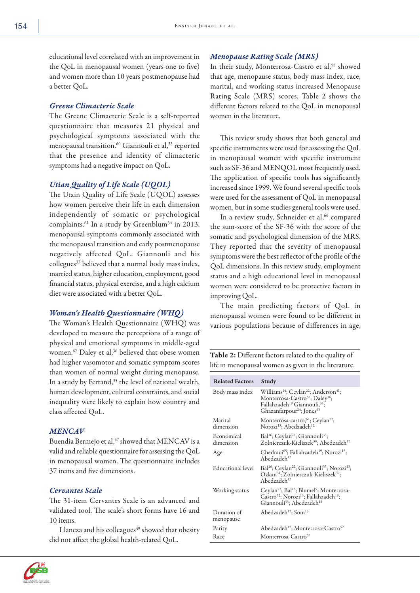educational level correlated with an improvement in the QoL in menopausal women (years one to five) and women more than 10 years postmenopause had a better QoL.

## *Greene Climacteric Scale*

The Greene Climacteric Scale is a self-reported questionnaire that measures 21 physical and psychological symptoms associated with the menopausal transition.<sup>60</sup> Giannouli et al,<sup>33</sup> reported that the presence and identity of climacteric symptoms had a negative impact on QoL.

#### *Utian Quality of Life Scale (UQOL)*

The Utain Quality of Life Scale (UQOL) assesses how women perceive their life in each dimension independently of somatic or psychological complaints.<sup>61</sup> In a study by Greenblum<sup>34</sup> in 2013, menopausal symptoms commonly associated with the menopausal transition and early postmenopause negatively affected QoL. Giannouli and his collegues<sup>33</sup> believed that a normal body mass index, married status, higher education, employment, good financial status, physical exercise, and a high calcium diet were associated with a better QoL.

## *Woman's Health Questionnaire (WHQ)*

The Woman's Health Questionnaire (WHQ) was developed to measure the perceptions of a range of physical and emotional symptoms in middle-aged women.<sup>62</sup> Daley et al,<sup>36</sup> believed that obese women had higher vasomotor and somatic symptom scores than women of normal weight during menopause. In a study by Ferrand,<sup>35</sup> the level of national wealth, human development, cultural constraints, and social inequality were likely to explain how country and class affected QoL.

## *MENCAV*

Buendia Bermejo et al, <sup>47</sup> showed that MENCAV is a valid and reliable questionnaire for assessing the QoL in menopausal women. The questionnaire includes 37 items and five dimensions.

# *Cervantes Scale*

The 31-item Cervantes Scale is an advanced and validated tool. The scale's short forms have 16 and 10 items.

Llaneza and his colleagues<sup>49</sup> showed that obesity did not affect the global health-related QoL.

## *Menopause Rating Scale (MRS)*

In their study, Monterrosa-Castro et al,<sup>52</sup> showed that age, menopause status, body mass index, race, marital, and working status increased Menopause Rating Scale (MRS) scores. Table 2 shows the different factors related to the QoL in menopausal women in the literature.

This review study shows that both general and specific instruments were used for assessing the QoL in menopausal women with specific instrument such as SF-36 and MENQOL most frequently used. The application of specific tools has significantly increased since 1999. We found several specific tools were used for the assessment of QoL in menopausal women, but in some studies general tools were used.

In a review study, Schneider et al,<sup>66</sup> compared the sum-score of the SF-36 with the score of the somatic and psychological dimension of the MRS. They reported that the severity of menopausal symptoms were the best reflector of the profile of the QoL dimensions. In this review study, employment status and a high educational level in menopausal women were considered to be protective factors in improving QoL.

The main predicting factors of QoL in menopausal women were found to be different in various populations because of differences in age,

Table 2: Different factors related to the quality of life in menopausal women as given in the literature.

| <b>Related Factors</b>   | Study                                                                                                                                                                                                                                            |
|--------------------------|--------------------------------------------------------------------------------------------------------------------------------------------------------------------------------------------------------------------------------------------------|
| Body mass index          | Williams <sup>14</sup> ; Ceylan <sup>22</sup> ; Anderson <sup>41</sup> ;<br>Monterrosa-Castro <sup>52</sup> ; Daley <sup>36</sup> ;<br>Fallahzadeh <sup>19</sup> Giannouli, <sup>33</sup> ;<br>Ghazanfarpour <sup>24</sup> ; Jones <sup>63</sup> |
| Marital<br>dimension     | Monterrosa-castro, <sup>64</sup> ; Ceylan <sup>22</sup> ;<br>Norozi <sup>13</sup> ; Abedzadeh <sup>12</sup>                                                                                                                                      |
| Economical<br>dimension  | Bal <sup>16</sup> ; Ceylan <sup>22</sup> ; Giannouli <sup>33</sup> ;<br>Zolnierczuk-Kieliszek <sup>30</sup> ; Abedzadeh <sup>12</sup>                                                                                                            |
| Age                      | Chedraui <sup>65</sup> ; Fallahzadeh <sup>19</sup> ; Norozi <sup>13</sup> ;<br>$A$ <sub>hedzade</sub> $h^{12}$                                                                                                                                   |
| Educational level        | Bal <sup>16</sup> ; Ceylan <sup>22</sup> ; Giannouli <sup>33</sup> ; Norozi <sup>13</sup> ;<br>Ozkan <sup>31</sup> ; Zolnierczuk-Kieliszek <sup>30</sup> ;<br>Abedzadeh <sup>12</sup>                                                            |
| Working status           | Ceylan <sup>22</sup> ; Bal <sup>16</sup> ; Blumel <sup>9</sup> ; Monterrosa-<br>Castro <sup>52</sup> ; Norozi <sup>13</sup> ; Fallahzadeh <sup>19</sup> ;<br>Giannouli <sup>33</sup> ; Abedzadeh <sup>12</sup>                                   |
| Duration of<br>menopause | Abedzadeh <sup>12</sup> ; Som <sup>15</sup>                                                                                                                                                                                                      |
| Parity                   | Abedzadeh <sup>12</sup> ; Monterrosa-Castro <sup>52</sup>                                                                                                                                                                                        |
| Race                     | Monterrosa-Castro <sup>52</sup>                                                                                                                                                                                                                  |

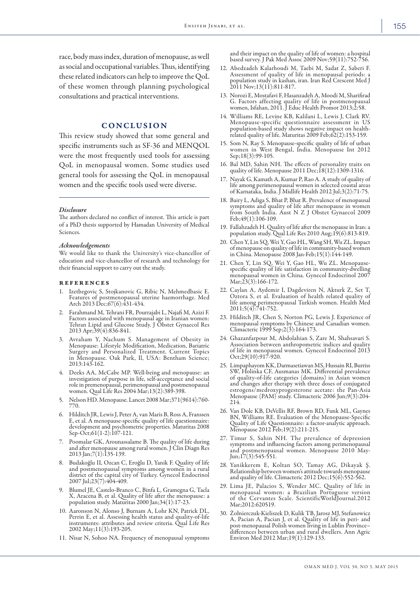race, body mass index, duration of menopause, as well as social and occupational variables. Thus, identifying these related indicators can help to improve the QoL of these women through planning psychological consultations and practical interventions.

#### CONCLUSION

This review study showed that some general and specific instruments such as SF-36 and MENQOL were the most frequently used tools for assessing QoL in menopausal women. Some studies used general tools for assessing the QoL in menopausal women and the specific tools used were diverse.

#### *Disclosure*

The authors declared no conflict of interest. This article is part of a PhD thesis supported by Hamadan University of Medical Sciences.

#### *Acknowledgements*

We would like to thank the University's vice-chancellor of education and vice-chancellor of research and technology for their financial support to carry out the study.

#### references

- 1. Izetbegovic S, Stojkanovic G, Ribic N, Mehmedbasic E. Features of postmenopausal uterine haemorrhage. Med Arch 2013 Dec;67(6):431-434.
- 2. Farahmand M, Tehrani FR, Pourrajabi L, Najafi M, Azizi F. Factors associated with menopausal age in Iranian women: Tehran Lipid and Glucose Study. J Obstet Gynaecol Res 2013 Apr;39(4):836-841.
- 3. Avraham Y, Nachum S. Management of Obesity in Menopause: Lifestyle Modification, Medication, Bariatric Surgery and Personalized Treatment. Current Topics in Menopause. Oak Park, Il, USA: Bentham Science; 2013:143-162.
- 4. Deeks AA, McCabe MP. Well-being and menopause: an investigation of purpose in life, self-acceptance and social role in premenopausal, perimenopausal and postmenopausal women. Qual Life Res 2004 Mar;13(2):389-398.
- 5. Nelson HD. Menopause. Lancet 2008 Mar;371(9614):760- 770.
- 6. Hilditch JR, Lewis J, Peter A, van Maris B, Ross A, Franssen E, et al. A menopause-specific quality of life questionnaire: development and psychometric properties. Maturitas 2008 Sep-Oct;61(1-2):107-121.
- 7. Poomalar GK, Arounassalame B. The quality of life during and after menopause among rural women. J Clin Diagn Res 2013 Jan;7(1):135-139.
- 8. Budakoğlu II, Ozcan C, Eroğlu D, Yanik F. Quality of life and postmenopausal symptoms among women in a rural district of the capital city of Turkey. Gynecol Endocrinol 2007 Jul;23(7):404-409.
- 9. Blumel JE, Castelo-Branco C, Binfa L, Gramegna G, Tacla X, Aracena B, et al. Quality of life after the menopause: a population study. Maturitas 2000 Jan;34(1):17-23.
- 10. Aaronson N, Alonso J, Burnam A, Lohr KN, Patrick DL, Perrin E, et al. Assessing health status and quality-of-life instruments: attributes and review criteria. Qual Life Res 2002 May;11(3):193-205.
- 11. Nisar N, Sohoo NA. Frequency of menopausal symptoms

and their impact on the quality of life of women: a hospital based survey. J Pak Med Assoc 2009 Nov;59(11):752-756.

- 12. Abedzadeh Kalarhoudi M, Taebi M, Sadat Z, Saberi F. Assessment of quality of life in menopausal periods: a population study in kashan, iran. Iran Red Crescent Med J 2011 Nov;13(11):811-817.
- 13. Norozi E, Mostafavi F, Hasanzadeh A, Moodi M, Sharifirad G. Factors affecting quality of life in postmenopausal women, Isfahan, 2011. J Educ Health Promot 2013;2:58.
- 14. Williams RE, Levine KB, Kalilani L, Lewis J, Clark RV. Menopause-specific questionnaire assessment in US population-based study shows negative impact on healthrelated quality of life. Maturitas 2009 Feb;62(2):153-159.
- 15. Som N, Ray S. Menopause-specific quality of life of urban women in West Bengal, India. Menopause Int 2012 Sep;18(3):99-105.
- 16. Bal MD, Sahin NH. The effects of personality traits on quality of life. Menopause 2011 Dec;18(12):1309-1316.
- 17. Nayak G, Kamath A, Kumar P, Rao A. A study of quality of life among perimenopausal women in selected coastal areas of Karnataka, India. J Midlife Health 2012 Jul;3(2):71-75.
- 18. Bairy L, Adiga S, Bhat P, Bhat R. Prevalence of menopausal symptoms and quality of life after menopause in women from South India. Aust N Z J Obstet Gynaecol 2009 Feb;49(1):106-109.
- 19. Fallahzadeh H. Quality of life after the menopause in Iran: a population study. Qual Life Res 2010 Aug;19(6):813-819.
- 20. Chen Y, Lin SQ, Wei Y, Gao HL, Wang SH, Wu ZL. Impact of menopause on quality of life in community-based women in China. Menopause 2008 Jan-Feb;15(1):144-149.
- 21. Chen Y, Lin SQ, Wei Y, Gao HL, Wu ZL. Menopausespecific quality of life satisfaction in community-dwelling menopausal women in China. Gynecol Endocrinol 2007 Mar;  $23(3)$ : 166-172.
- 22. Caylan A, Aydemir I, Dagdeviren N, Akturk Z, Set T, Oztora S, et al. Evaluation of health related quality of life among perimenopausal Turkish women. Health Med 2011;5(4):741-752.
- 23. Hilditch JR, Chen S, Norton PG, Lewis J. Experience of menopausal symptoms by Chinese and Canadian women. Climacteric 1999 Sep;2(3):164-173.
- 24. Ghazanfarpour M, Abdolahian S, Zare M, Shahsavari S. Association between anthropometric indices and quality of life in menopausal women. Gynecol Endocrinol 2013 Oct;29(10):917-920.
- 25. Limpaphayom KK, Darmasetiawan MS, Hussain RI, Burriss SW, Holinka CF, Ausmanas MK. Differential prevalence of quality-of-life categories (domains) in Asian women and changes after therapy with three doses of conjugated estrogens/medroxyprogesterone acetate: the Pan-Asia Menopause (PAM) study. Climacteric 2006 Jun;9(3):204-214.
- 26. Van Dole KB, DeVellis RF, Brown RD, Funk ML, Gaynes BN, Williams RE. Evaluation of the Menopause-Specific Quality of Life Questionnaire: a factor-analytic approach. Menopause 2012 Feb;19(2):211-215.
- 27. Timur S, Sahin NH. The prevalence of depression symptoms and influencing factors among perimenopausal and postmenopausal women. Menopause 2010 May-Jun;17(3):545-551.
- 28. Yanikkerem E, Koltan SO, Tamay AG, Dikayak Ş. Relationship between women's attitude towards menopause and quality of life. Climacteric 2012 Dec;15(6):552-562.
- 29. Lima JE, Palacios S, Wender MC. Quality of life in menopausal women: a Brazilian Portuguese version of the Cervantes Scale. ScientificWorldJournal.2012 Mar;2012:620519.
- 30. Żołnierczuk-Kieliszek D, Kulik TB, Jarosz MJ, Stefanowicz A, Pacian A, Pacian J, et al. Quality of life in peri- and post-menopausal Polish women living in Lublin Province– differences between urban and rural dwellers. Ann Agric Environ Med 2012 Mar;19(1):129-133.